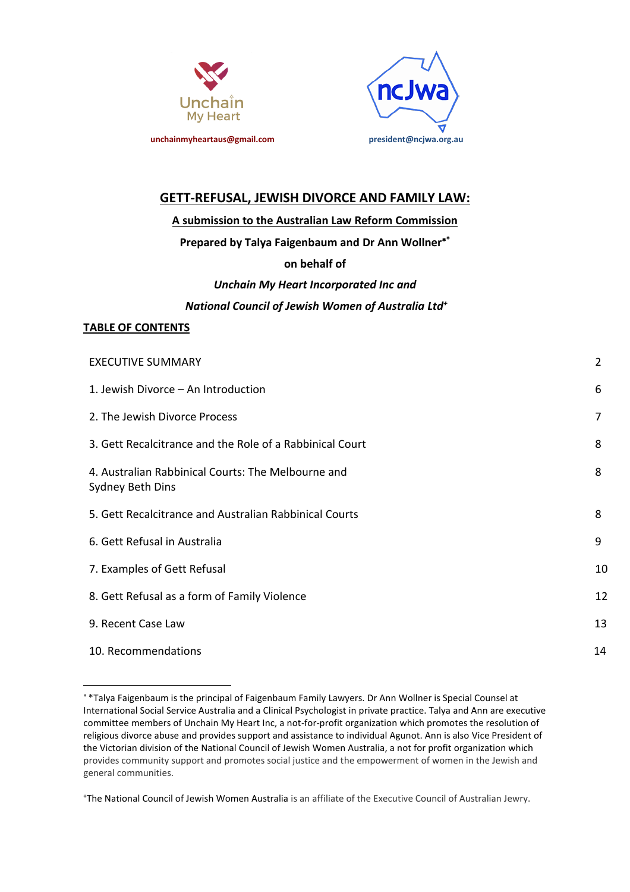



# **GETT-REFUSAL, JEWISH DIVORCE AND FAMILY LAW:**

## **A submission to the Australian Law Reform Commission**

## **Prepared by Talya Faigenbaum and Dr Ann Wollner \***

# **on behalf of**

# *Unchain My Heart Incorporated Inc and National Council of Jewish Women of Australia Ltd+*

## **TABLE OF CONTENTS**

l

| <b>EXECUTIVE SUMMARY</b>                                               | $\overline{2}$ |
|------------------------------------------------------------------------|----------------|
| 1. Jewish Divorce - An Introduction                                    | 6              |
| 2. The Jewish Divorce Process                                          | $\overline{7}$ |
| 3. Gett Recalcitrance and the Role of a Rabbinical Court               | 8              |
| 4. Australian Rabbinical Courts: The Melbourne and<br>Sydney Beth Dins | 8              |
| 5. Gett Recalcitrance and Australian Rabbinical Courts                 | 8              |
| 6. Gett Refusal in Australia                                           | 9              |
| 7. Examples of Gett Refusal                                            | 10             |
| 8. Gett Refusal as a form of Family Violence                           | 12             |
| 9. Recent Case Law                                                     | 13             |
| 10. Recommendations                                                    | 14             |

+ The National Council of Jewish Women Australia is an affiliate of the Executive Council of Australian Jewry.

 \*Talya Faigenbaum is the principal of Faigenbaum Family Lawyers. Dr Ann Wollner is Special Counsel at International Social Service Australia and a Clinical Psychologist in private practice. Talya and Ann are executive committee members of Unchain My Heart Inc, a not-for-profit organization which promotes the resolution of religious divorce abuse and provides support and assistance to individual Agunot. Ann is also Vice President of the Victorian division of the National Council of Jewish Women Australia, a not for profit organization which provides community support and promotes social justice and the empowerment of women in the Jewish and general communities.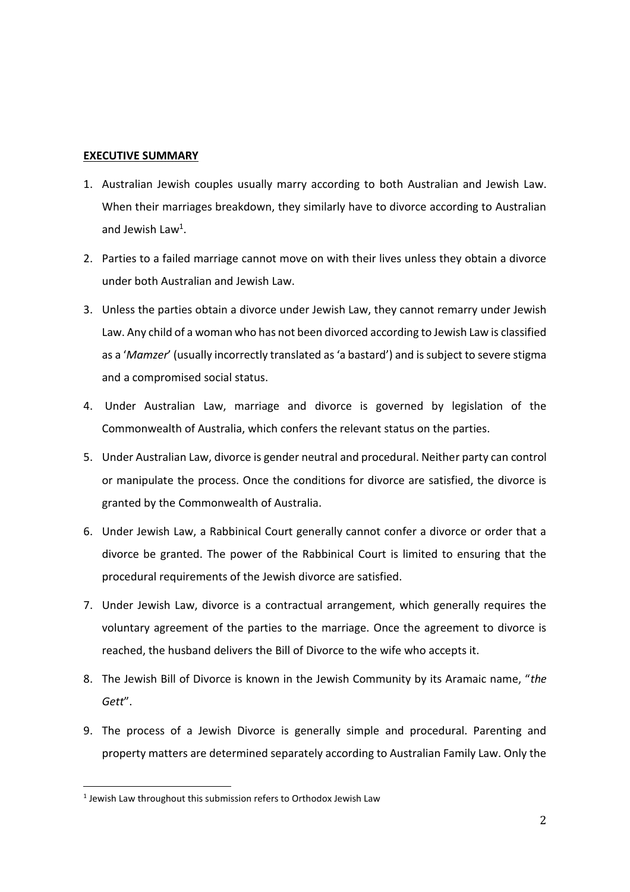### **EXECUTIVE SUMMARY**

- 1. Australian Jewish couples usually marry according to both Australian and Jewish Law. When their marriages breakdown, they similarly have to divorce according to Australian and Jewish Law<sup>1</sup>.
- 2. Parties to a failed marriage cannot move on with their lives unless they obtain a divorce under both Australian and Jewish Law.
- 3. Unless the parties obtain a divorce under Jewish Law, they cannot remarry under Jewish Law. Any child of a woman who has not been divorced according to Jewish Law is classified as a '*Mamzer*' (usually incorrectly translated as 'a bastard') and is subject to severe stigma and a compromised social status.
- 4. Under Australian Law, marriage and divorce is governed by legislation of the Commonwealth of Australia, which confers the relevant status on the parties.
- 5. Under Australian Law, divorce is gender neutral and procedural. Neither party can control or manipulate the process. Once the conditions for divorce are satisfied, the divorce is granted by the Commonwealth of Australia.
- 6. Under Jewish Law, a Rabbinical Court generally cannot confer a divorce or order that a divorce be granted. The power of the Rabbinical Court is limited to ensuring that the procedural requirements of the Jewish divorce are satisfied.
- 7. Under Jewish Law, divorce is a contractual arrangement, which generally requires the voluntary agreement of the parties to the marriage. Once the agreement to divorce is reached, the husband delivers the Bill of Divorce to the wife who accepts it.
- 8. The Jewish Bill of Divorce is known in the Jewish Community by its Aramaic name, "*the Gett*".
- 9. The process of a Jewish Divorce is generally simple and procedural. Parenting and property matters are determined separately according to Australian Family Law. Only the

l

<sup>1</sup> Jewish Law throughout this submission refers to Orthodox Jewish Law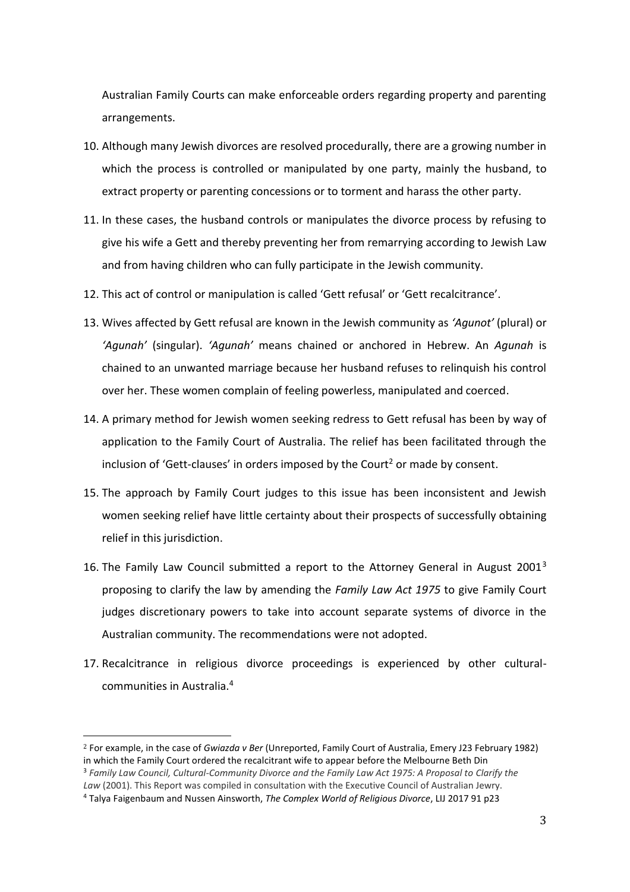Australian Family Courts can make enforceable orders regarding property and parenting arrangements.

- 10. Although many Jewish divorces are resolved procedurally, there are a growing number in which the process is controlled or manipulated by one party, mainly the husband, to extract property or parenting concessions or to torment and harass the other party.
- 11. In these cases, the husband controls or manipulates the divorce process by refusing to give his wife a Gett and thereby preventing her from remarrying according to Jewish Law and from having children who can fully participate in the Jewish community.
- 12. This act of control or manipulation is called 'Gett refusal' or 'Gett recalcitrance'.
- 13. Wives affected by Gett refusal are known in the Jewish community as *'Agunot'* (plural) or *'Agunah'* (singular). *'Agunah'* means chained or anchored in Hebrew. An *Agunah* is chained to an unwanted marriage because her husband refuses to relinquish his control over her. These women complain of feeling powerless, manipulated and coerced.
- 14. A primary method for Jewish women seeking redress to Gett refusal has been by way of application to the Family Court of Australia. The relief has been facilitated through the inclusion of 'Gett-clauses' in orders imposed by the Court<sup>2</sup> or made by consent.
- 15. The approach by Family Court judges to this issue has been inconsistent and Jewish women seeking relief have little certainty about their prospects of successfully obtaining relief in this jurisdiction.
- 16. The Family Law Council submitted a report to the Attorney General in August 2001 $^3$ proposing to clarify the law by amending the *Family Law Act 1975* to give Family Court judges discretionary powers to take into account separate systems of divorce in the Australian community. The recommendations were not adopted.
- 17. Recalcitrance in religious divorce proceedings is experienced by other culturalcommunities in Australia.4

 <sup>2</sup> For example, in the case of *Gwiazda v Ber* (Unreported, Family Court of Australia, Emery J23 February 1982) in which the Family Court ordered the recalcitrant wife to appear before the Melbourne Beth Din <sup>3</sup> *Family Law Council, Cultural-Community Divorce and the Family Law Act 1975: A Proposal to Clarify the* 

*Law* (2001). This Report was compiled in consultation with the Executive Council of Australian Jewry.

<sup>4</sup> Talya Faigenbaum and Nussen Ainsworth, *The Complex World of Religious Divorce*, LIJ 2017 91 p23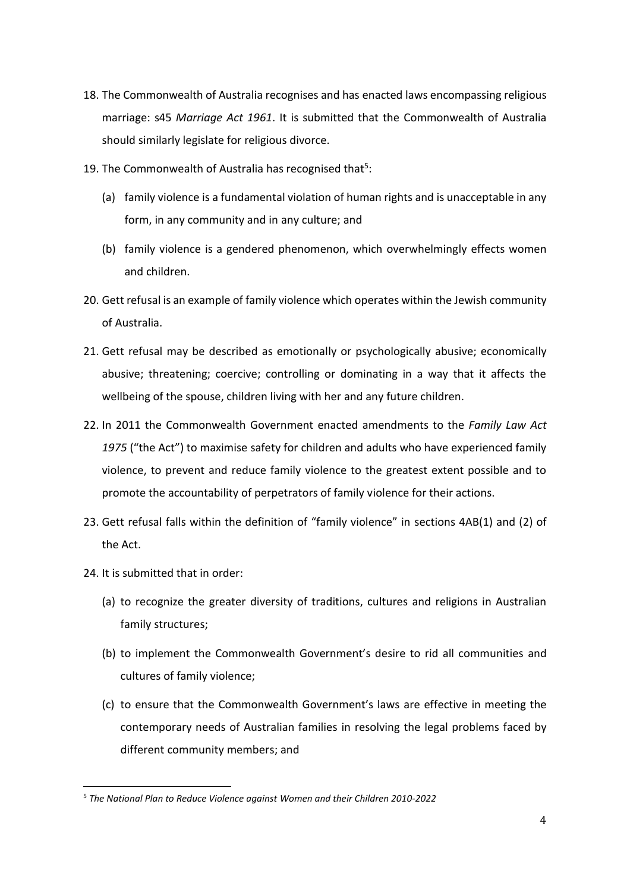- 18. The Commonwealth of Australia recognises and has enacted laws encompassing religious marriage: s45 *Marriage Act 1961*. It is submitted that the Commonwealth of Australia should similarly legislate for religious divorce.
- 19. The Commonwealth of Australia has recognised that $5$ :
	- (a) family violence is a fundamental violation of human rights and is unacceptable in any form, in any community and in any culture; and
	- (b) family violence is a gendered phenomenon, which overwhelmingly effects women and children.
- 20. Gett refusal is an example of family violence which operates within the Jewish community of Australia.
- 21. Gett refusal may be described as emotionally or psychologically abusive; economically abusive; threatening; coercive; controlling or dominating in a way that it affects the wellbeing of the spouse, children living with her and any future children.
- 22. In 2011 the Commonwealth Government enacted amendments to the *Family Law Act 1975* ("the Act") to maximise safety for children and adults who have experienced family violence, to prevent and reduce family violence to the greatest extent possible and to promote the accountability of perpetrators of family violence for their actions.
- 23. Gett refusal falls within the definition of "family violence" in sections 4AB(1) and (2) of the Act.
- 24. It is submitted that in order:

l

- (a) to recognize the greater diversity of traditions, cultures and religions in Australian family structures;
- (b) to implement the Commonwealth Government's desire to rid all communities and cultures of family violence;
- (c) to ensure that the Commonwealth Government's laws are effective in meeting the contemporary needs of Australian families in resolving the legal problems faced by different community members; and

<sup>5</sup> *The National Plan to Reduce Violence against Women and their Children 2010-2022*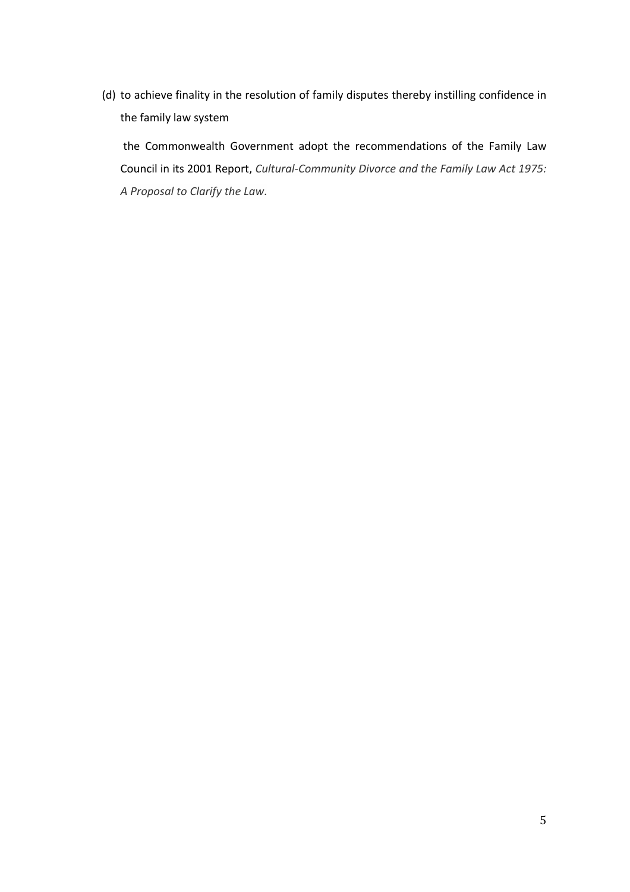(d) to achieve finality in the resolution of family disputes thereby instilling confidence in the family law system

the Commonwealth Government adopt the recommendations of the Family Law Council in its 2001 Report, *Cultural-Community Divorce and the Family Law Act 1975: A Proposal to Clarify the Law*.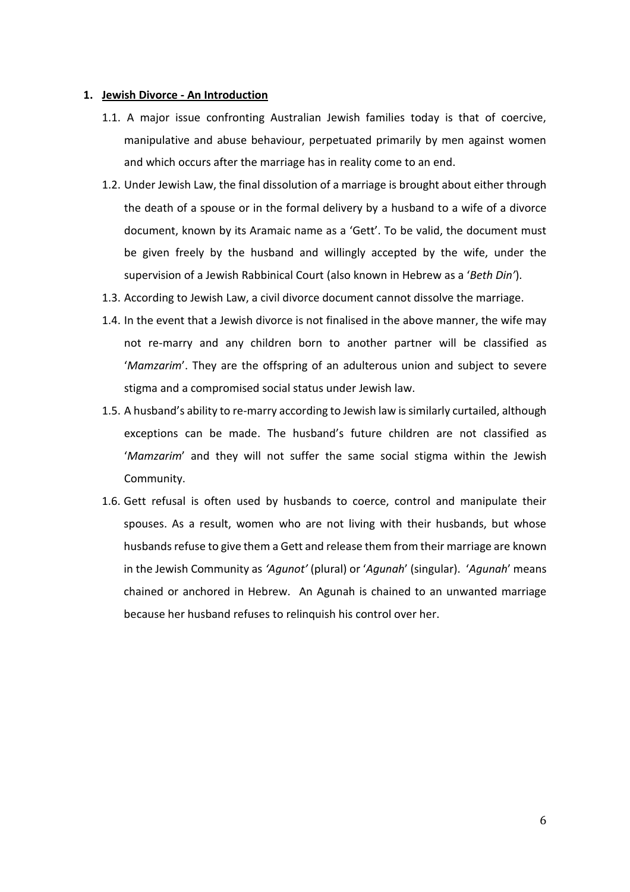#### **1. Jewish Divorce - An Introduction**

- 1.1. A major issue confronting Australian Jewish families today is that of coercive, manipulative and abuse behaviour, perpetuated primarily by men against women and which occurs after the marriage has in reality come to an end.
- 1.2. Under Jewish Law, the final dissolution of a marriage is brought about either through the death of a spouse or in the formal delivery by a husband to a wife of a divorce document, known by its Aramaic name as a 'Gett'. To be valid, the document must be given freely by the husband and willingly accepted by the wife, under the supervision of a Jewish Rabbinical Court (also known in Hebrew as a '*Beth Din'*).
- 1.3. According to Jewish Law, a civil divorce document cannot dissolve the marriage.
- 1.4. In the event that a Jewish divorce is not finalised in the above manner, the wife may not re-marry and any children born to another partner will be classified as '*Mamzarim*'. They are the offspring of an adulterous union and subject to severe stigma and a compromised social status under Jewish law.
- 1.5. A husband's ability to re-marry according to Jewish law is similarly curtailed, although exceptions can be made. The husband's future children are not classified as '*Mamzarim*' and they will not suffer the same social stigma within the Jewish Community.
- 1.6. Gett refusal is often used by husbands to coerce, control and manipulate their spouses. As a result, women who are not living with their husbands, but whose husbands refuse to give them a Gett and release them from their marriage are known in the Jewish Community as *'Agunot'* (plural) or '*Agunah*' (singular). '*Agunah*' means chained or anchored in Hebrew. An Agunah is chained to an unwanted marriage because her husband refuses to relinquish his control over her.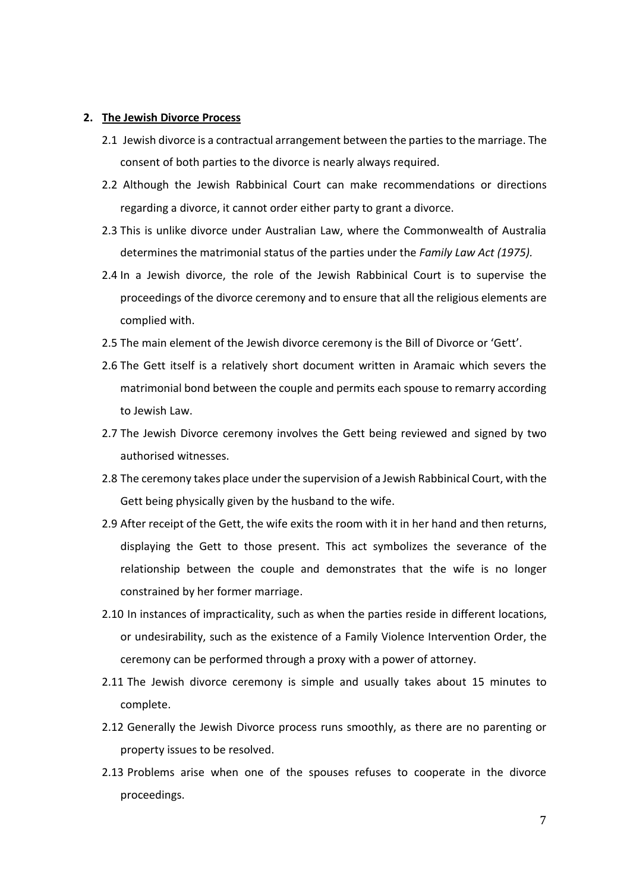#### **2. The Jewish Divorce Process**

- 2.1 Jewish divorce is a contractual arrangement between the parties to the marriage. The consent of both parties to the divorce is nearly always required.
- 2.2 Although the Jewish Rabbinical Court can make recommendations or directions regarding a divorce, it cannot order either party to grant a divorce.
- 2.3 This is unlike divorce under Australian Law, where the Commonwealth of Australia determines the matrimonial status of the parties under the *Family Law Act (1975).*
- 2.4 In a Jewish divorce, the role of the Jewish Rabbinical Court is to supervise the proceedings of the divorce ceremony and to ensure that all the religious elements are complied with.
- 2.5 The main element of the Jewish divorce ceremony is the Bill of Divorce or 'Gett'.
- 2.6 The Gett itself is a relatively short document written in Aramaic which severs the matrimonial bond between the couple and permits each spouse to remarry according to Jewish Law.
- 2.7 The Jewish Divorce ceremony involves the Gett being reviewed and signed by two authorised witnesses.
- 2.8 The ceremony takes place under the supervision of a Jewish Rabbinical Court, with the Gett being physically given by the husband to the wife.
- 2.9 After receipt of the Gett, the wife exits the room with it in her hand and then returns, displaying the Gett to those present. This act symbolizes the severance of the relationship between the couple and demonstrates that the wife is no longer constrained by her former marriage.
- 2.10 In instances of impracticality, such as when the parties reside in different locations, or undesirability, such as the existence of a Family Violence Intervention Order, the ceremony can be performed through a proxy with a power of attorney.
- 2.11 The Jewish divorce ceremony is simple and usually takes about 15 minutes to complete.
- 2.12 Generally the Jewish Divorce process runs smoothly, as there are no parenting or property issues to be resolved.
- 2.13 Problems arise when one of the spouses refuses to cooperate in the divorce proceedings.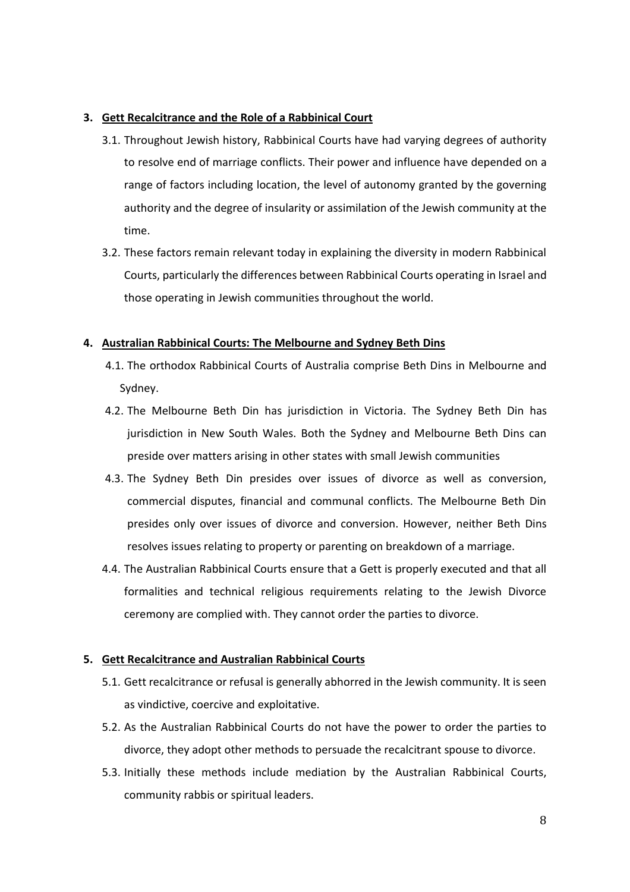## **3. Gett Recalcitrance and the Role of a Rabbinical Court**

- 3.1. Throughout Jewish history, Rabbinical Courts have had varying degrees of authority to resolve end of marriage conflicts. Their power and influence have depended on a range of factors including location, the level of autonomy granted by the governing authority and the degree of insularity or assimilation of the Jewish community at the time.
- 3.2. These factors remain relevant today in explaining the diversity in modern Rabbinical Courts, particularly the differences between Rabbinical Courts operating in Israel and those operating in Jewish communities throughout the world.

## **4. Australian Rabbinical Courts: The Melbourne and Sydney Beth Dins**

- 4.1. The orthodox Rabbinical Courts of Australia comprise Beth Dins in Melbourne and Sydney.
- 4.2. The Melbourne Beth Din has jurisdiction in Victoria. The Sydney Beth Din has jurisdiction in New South Wales. Both the Sydney and Melbourne Beth Dins can preside over matters arising in other states with small Jewish communities
- 4.3. The Sydney Beth Din presides over issues of divorce as well as conversion, commercial disputes, financial and communal conflicts. The Melbourne Beth Din presides only over issues of divorce and conversion. However, neither Beth Dins resolves issues relating to property or parenting on breakdown of a marriage.
- 4.4. The Australian Rabbinical Courts ensure that a Gett is properly executed and that all formalities and technical religious requirements relating to the Jewish Divorce ceremony are complied with. They cannot order the parties to divorce.

## **5. Gett Recalcitrance and Australian Rabbinical Courts**

- 5.1. Gett recalcitrance or refusal is generally abhorred in the Jewish community. It is seen as vindictive, coercive and exploitative.
- 5.2. As the Australian Rabbinical Courts do not have the power to order the parties to divorce, they adopt other methods to persuade the recalcitrant spouse to divorce.
- 5.3. Initially these methods include mediation by the Australian Rabbinical Courts, community rabbis or spiritual leaders.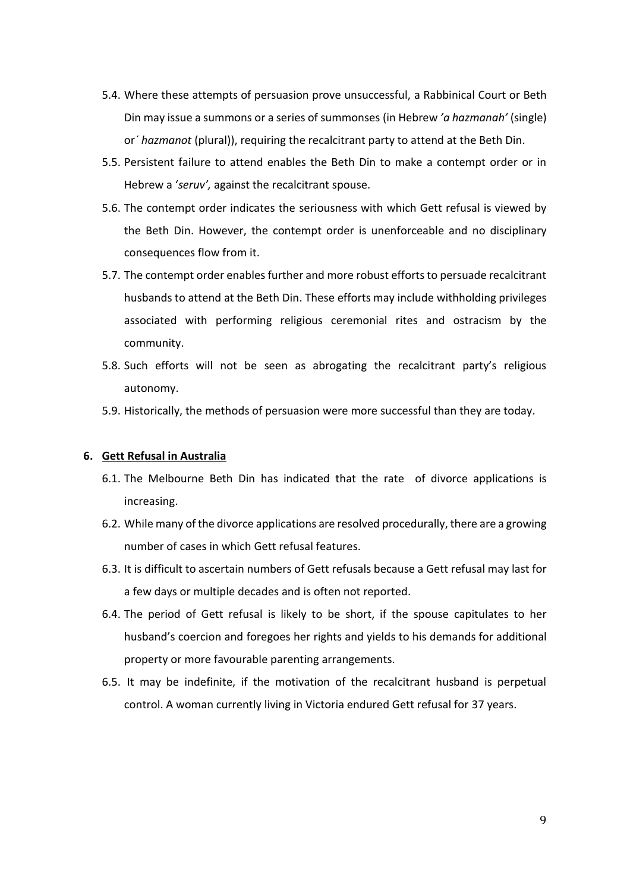- 5.4. Where these attempts of persuasion prove unsuccessful, a Rabbinical Court or Beth Din may issue a summons or a series of summonses (in Hebrew *'a hazmanah'* (single) or*´ hazmanot* (plural)), requiring the recalcitrant party to attend at the Beth Din.
- 5.5. Persistent failure to attend enables the Beth Din to make a contempt order or in Hebrew a '*seruv',* against the recalcitrant spouse.
- 5.6. The contempt order indicates the seriousness with which Gett refusal is viewed by the Beth Din. However, the contempt order is unenforceable and no disciplinary consequences flow from it.
- 5.7. The contempt order enables further and more robust efforts to persuade recalcitrant husbands to attend at the Beth Din. These efforts may include withholding privileges associated with performing religious ceremonial rites and ostracism by the community.
- 5.8. Such efforts will not be seen as abrogating the recalcitrant party's religious autonomy.
- 5.9. Historically, the methods of persuasion were more successful than they are today.

#### **6. Gett Refusal in Australia**

- 6.1. The Melbourne Beth Din has indicated that the rate of divorce applications is increasing.
- 6.2. While many of the divorce applications are resolved procedurally, there are a growing number of cases in which Gett refusal features.
- 6.3. It is difficult to ascertain numbers of Gett refusals because a Gett refusal may last for a few days or multiple decades and is often not reported.
- 6.4. The period of Gett refusal is likely to be short, if the spouse capitulates to her husband's coercion and foregoes her rights and yields to his demands for additional property or more favourable parenting arrangements.
- 6.5. It may be indefinite, if the motivation of the recalcitrant husband is perpetual control. A woman currently living in Victoria endured Gett refusal for 37 years.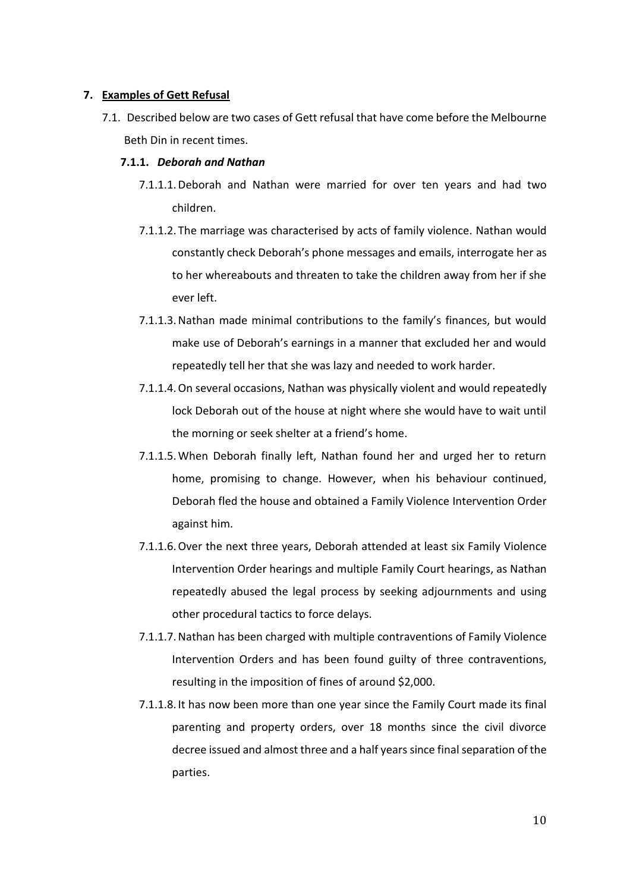#### **7. Examples of Gett Refusal**

7.1. Described below are two cases of Gett refusal that have come before the Melbourne Beth Din in recent times.

### **7.1.1.** *Deborah and Nathan*

- 7.1.1.1.Deborah and Nathan were married for over ten years and had two children.
- 7.1.1.2. The marriage was characterised by acts of family violence. Nathan would constantly check Deborah's phone messages and emails, interrogate her as to her whereabouts and threaten to take the children away from her if she ever left.
- 7.1.1.3.Nathan made minimal contributions to the family's finances, but would make use of Deborah's earnings in a manner that excluded her and would repeatedly tell her that she was lazy and needed to work harder.
- 7.1.1.4.On several occasions, Nathan was physically violent and would repeatedly lock Deborah out of the house at night where she would have to wait until the morning or seek shelter at a friend's home.
- 7.1.1.5.When Deborah finally left, Nathan found her and urged her to return home, promising to change. However, when his behaviour continued, Deborah fled the house and obtained a Family Violence Intervention Order against him.
- 7.1.1.6.Over the next three years, Deborah attended at least six Family Violence Intervention Order hearings and multiple Family Court hearings, as Nathan repeatedly abused the legal process by seeking adjournments and using other procedural tactics to force delays.
- 7.1.1.7.Nathan has been charged with multiple contraventions of Family Violence Intervention Orders and has been found guilty of three contraventions, resulting in the imposition of fines of around \$2,000.
- 7.1.1.8. It has now been more than one year since the Family Court made its final parenting and property orders, over 18 months since the civil divorce decree issued and almost three and a half years since final separation of the parties.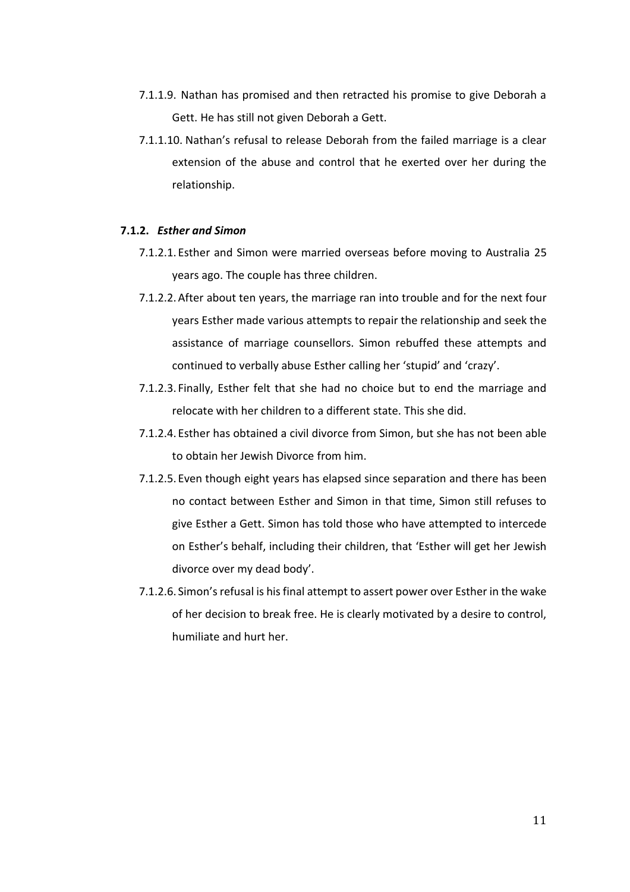- 7.1.1.9. Nathan has promised and then retracted his promise to give Deborah a Gett. He has still not given Deborah a Gett.
- 7.1.1.10. Nathan's refusal to release Deborah from the failed marriage is a clear extension of the abuse and control that he exerted over her during the relationship.

#### **7.1.2.** *Esther and Simon*

- 7.1.2.1. Esther and Simon were married overseas before moving to Australia 25 years ago. The couple has three children.
- 7.1.2.2.After about ten years, the marriage ran into trouble and for the next four years Esther made various attempts to repair the relationship and seek the assistance of marriage counsellors. Simon rebuffed these attempts and continued to verbally abuse Esther calling her 'stupid' and 'crazy'.
- 7.1.2.3. Finally, Esther felt that she had no choice but to end the marriage and relocate with her children to a different state. This she did.
- 7.1.2.4. Esther has obtained a civil divorce from Simon, but she has not been able to obtain her Jewish Divorce from him.
- 7.1.2.5. Even though eight years has elapsed since separation and there has been no contact between Esther and Simon in that time, Simon still refuses to give Esther a Gett. Simon has told those who have attempted to intercede on Esther's behalf, including their children, that 'Esther will get her Jewish divorce over my dead body'.
- 7.1.2.6. Simon's refusal is hisfinal attempt to assert power over Esther in the wake of her decision to break free. He is clearly motivated by a desire to control, humiliate and hurt her.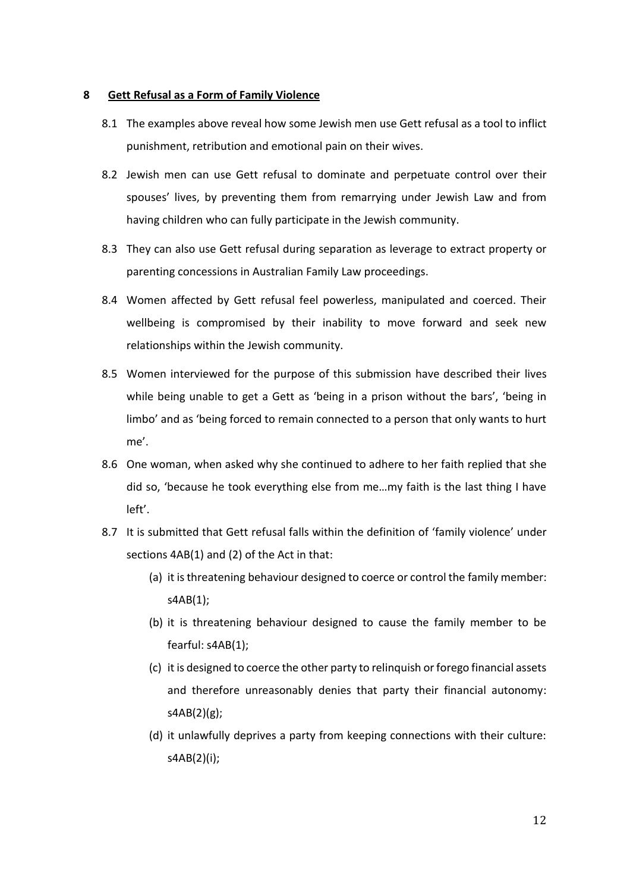#### **8 Gett Refusal as a Form of Family Violence**

- 8.1 The examples above reveal how some Jewish men use Gett refusal as a tool to inflict punishment, retribution and emotional pain on their wives.
- 8.2 Jewish men can use Gett refusal to dominate and perpetuate control over their spouses' lives, by preventing them from remarrying under Jewish Law and from having children who can fully participate in the Jewish community.
- 8.3 They can also use Gett refusal during separation as leverage to extract property or parenting concessions in Australian Family Law proceedings.
- 8.4 Women affected by Gett refusal feel powerless, manipulated and coerced. Their wellbeing is compromised by their inability to move forward and seek new relationships within the Jewish community.
- 8.5 Women interviewed for the purpose of this submission have described their lives while being unable to get a Gett as 'being in a prison without the bars', 'being in limbo' and as 'being forced to remain connected to a person that only wants to hurt me'.
- 8.6 One woman, when asked why she continued to adhere to her faith replied that she did so, 'because he took everything else from me…my faith is the last thing I have left'.
- 8.7 It is submitted that Gett refusal falls within the definition of 'family violence' under sections 4AB(1) and (2) of the Act in that:
	- (a) it is threatening behaviour designed to coerce or control the family member: s4AB(1);
	- (b) it is threatening behaviour designed to cause the family member to be fearful: s4AB(1);
	- (c) it is designed to coerce the other party to relinquish or forego financial assets and therefore unreasonably denies that party their financial autonomy: s4AB(2)(g);
	- (d) it unlawfully deprives a party from keeping connections with their culture: s4AB(2)(i);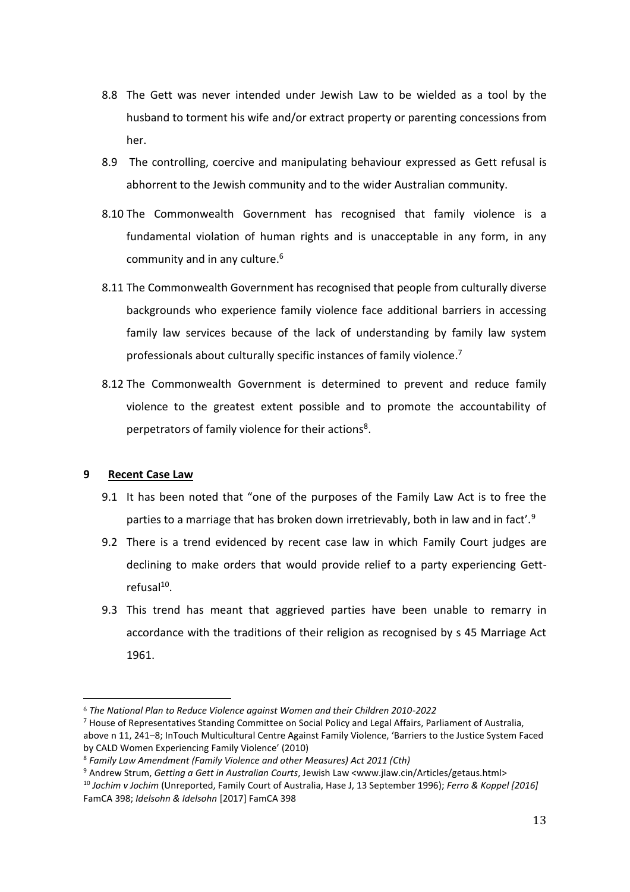- 8.8 The Gett was never intended under Jewish Law to be wielded as a tool by the husband to torment his wife and/or extract property or parenting concessions from her.
- 8.9 The controlling, coercive and manipulating behaviour expressed as Gett refusal is abhorrent to the Jewish community and to the wider Australian community.
- 8.10 The Commonwealth Government has recognised that family violence is a fundamental violation of human rights and is unacceptable in any form, in any community and in any culture. 6
- 8.11 The Commonwealth Government has recognised that people from culturally diverse backgrounds who experience family violence face additional barriers in accessing family law services because of the lack of understanding by family law system professionals about culturally specific instances of family violence.<sup>7</sup>
- 8.12 The Commonwealth Government is determined to prevent and reduce family violence to the greatest extent possible and to promote the accountability of perpetrators of family violence for their actions<sup>8</sup>.

## **9 Recent Case Law**

- 9.1 It has been noted that "one of the purposes of the Family Law Act is to free the parties to a marriage that has broken down irretrievably, both in law and in fact'.<sup>9</sup>
- 9.2 There is a trend evidenced by recent case law in which Family Court judges are declining to make orders that would provide relief to a party experiencing Gett $refusal<sup>10</sup>$ .
- 9.3 This trend has meant that aggrieved parties have been unable to remarry in accordance with the traditions of their religion as recognised by s 45 Marriage Act 1961.

 <sup>6</sup> *The National Plan to Reduce Violence against Women and their Children 2010-2022*

<sup>7</sup> House of Representatives Standing Committee on Social Policy and Legal Affairs, Parliament of Australia, above n 11, 241–8; InTouch Multicultural Centre Against Family Violence, 'Barriers to the Justice System Faced by CALD Women Experiencing Family Violence' (2010)

<sup>8</sup> *Family Law Amendment (Family Violence and other Measures) Act 2011 (Cth)*

<sup>9</sup> Andrew Strum, *Getting a Gett in Australian Courts*, Jewish Law <www.jlaw.cin/Articles/getaus.html>

<sup>10</sup> *Jochim v Jochim* (Unreported, Family Court of Australia, Hase J, 13 September 1996); *Ferro & Koppel [2016]*  FamCA 398; *Idelsohn & Idelsohn* [2017] FamCA 398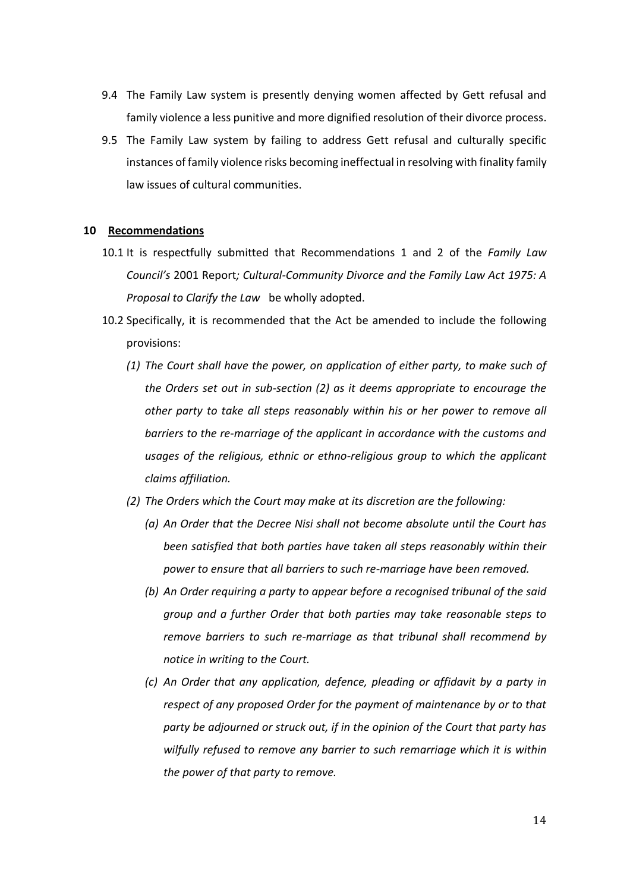- 9.4 The Family Law system is presently denying women affected by Gett refusal and family violence a less punitive and more dignified resolution of their divorce process.
- 9.5 The Family Law system by failing to address Gett refusal and culturally specific instances of family violence risks becoming ineffectual in resolving with finality family law issues of cultural communities.

#### **10 Recommendations**

- 10.1 It is respectfully submitted that Recommendations 1 and 2 of the *Family Law Council's* 2001 Report*; Cultural-Community Divorce and the Family Law Act 1975: A Proposal to Clarify the Law* be wholly adopted.
- 10.2 Specifically, it is recommended that the Act be amended to include the following provisions:
	- *(1) The Court shall have the power, on application of either party, to make such of the Orders set out in sub-section (2) as it deems appropriate to encourage the other party to take all steps reasonably within his or her power to remove all barriers to the re-marriage of the applicant in accordance with the customs and usages of the religious, ethnic or ethno-religious group to which the applicant claims affiliation.*
	- *(2) The Orders which the Court may make at its discretion are the following:*
		- *(a) An Order that the Decree Nisi shall not become absolute until the Court has been satisfied that both parties have taken all steps reasonably within their power to ensure that all barriers to such re-marriage have been removed.*
		- *(b) An Order requiring a party to appear before a recognised tribunal of the said group and a further Order that both parties may take reasonable steps to remove barriers to such re-marriage as that tribunal shall recommend by notice in writing to the Court.*
		- *(c) An Order that any application, defence, pleading or affidavit by a party in respect of any proposed Order for the payment of maintenance by or to that party be adjourned or struck out, if in the opinion of the Court that party has wilfully refused to remove any barrier to such remarriage which it is within the power of that party to remove.*